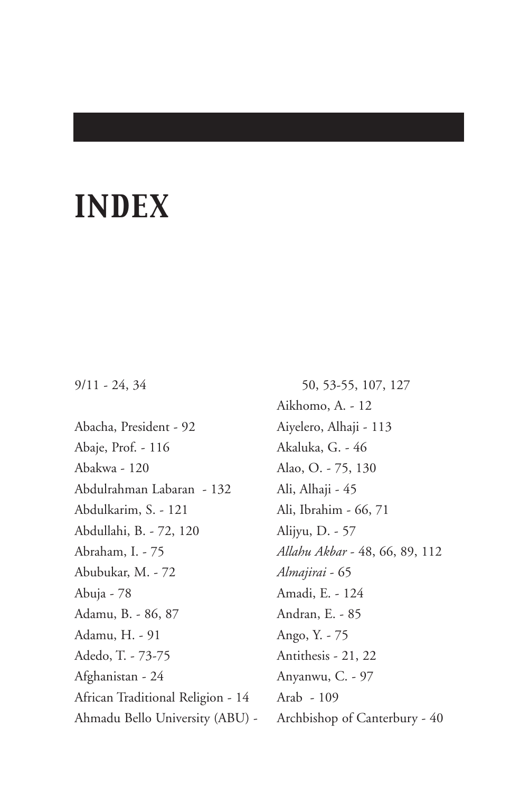## *INDEX*

## 9/11 - 24, 34

Abacha, President - 92 Abaje, Prof. - 116 Abakwa - 120 Abdulrahman Labaran - 132 Abdulkarim, S. - 121 Abdullahi, B. - 72, 120 Abraham, I. - 75 Abubukar, M. - 72 Abuja - 78 Adamu, B. - 86, 87 Adamu, H. - 91 Adedo, T. - 73-75 Afghanistan - 24 African Traditional Religion - 14 Ahmadu Bello University (ABU) -

50, 53-55, 107, 127 Aikhomo, A. - 12 Aiyelero, Alhaji - 113 Akaluka, G. - 46 Alao, O. - 75, 130 Ali, Alhaji - 45 Ali, Ibrahim - 66, 71 Alijyu, D. - 57 *Allahu Akbar* - 48, 66, 89, 112 *Almajirai* - 65 Amadi, E. - 124 Andran, E. - 85 Ango, Y. - 75 Antithesis - 21, 22 Anyanwu, C. - 97 Arab - 109 Archbishop of Canterbury - 40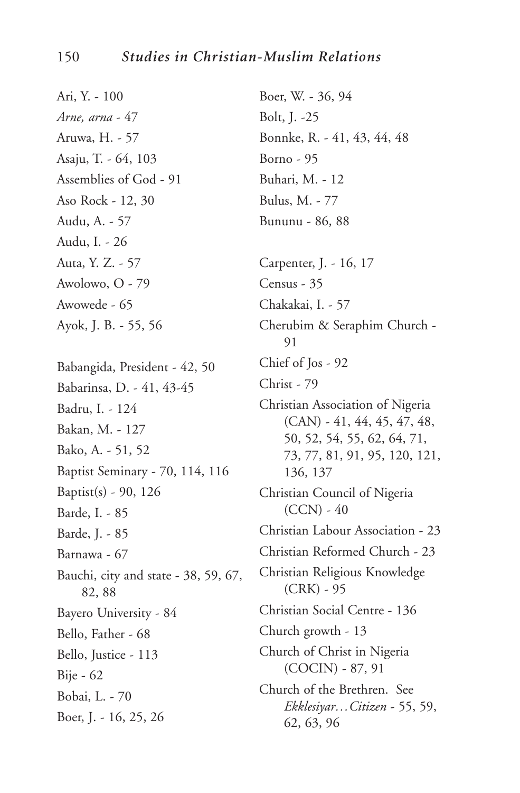Ari, Y. - 100 *Arne, arna* - 47 Aruwa, H. - 57 Asaju, T. - 64, 103 Assemblies of God - 91 Aso Rock - 12, 30 Audu, A. - 57 Audu, I. - 26 Auta, Y. Z. - 57 Awolowo, O - 79 Awowede - 65 Ayok, J. B. - 55, 56 Babangida, President - 42, 50 Babarinsa, D. - 41, 43-45 Badru, I. - 124 Bakan, M. - 127 Bako, A. - 51, 52 Baptist Seminary - 70, 114, 116 Baptist(s) - 90, 126 Barde, I. - 85 Barde, J. - 85 Barnawa - 67 Bauchi, city and state - 38, 59, 67, 82, 88 Bayero University - 84 Bello, Father - 68 Bello, Justice - 113 Bije - 62 Bobai, L. - 70 Boer, J. - 16, 25, 26 Boer, W. - 36, 94 Bolt, J. -25 Bonnke, R. - 41, 43, 44, 48 Borno - 95 Buhari, M. - 12 Bulus, M. - 77 Bununu - 86, 88 Carpenter, J. - 16, 17 Census - 35 Chakakai, I. - 57 Cherubim & Seraphim Church - 91 Chief of Jos - 92 Christ - 79 Christian Association of Nigeria (CAN) - 41, 44, 45, 47, 48, 50, 52, 54, 55, 62, 64, 71, 73, 77, 81, 91, 95, 120, 121, 136, 137 Christian Council of Nigeria  $(CCN) - 40$ Christian Labour Association - 23 Christian Reformed Church - 23 Christian Religious Knowledge (CRK) - 95 Christian Social Centre - 136 Church growth - 13 Church of Christ in Nigeria (COCIN) - 87, 91 Church of the Brethren. See *Ekklesiyar…Citizen* - 55, 59, 62, 63, 96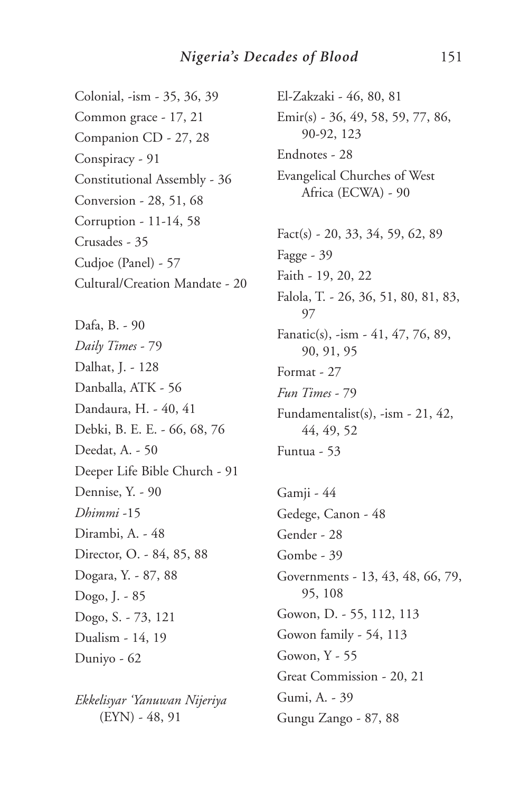Colonial, -ism - 35, 36, 39 Common grace - 17, 21 Companion CD - 27, 28 Conspiracy - 91 Constitutional Assembly - 36 Conversion - 28, 51, 68 Corruption - 11-14, 58 Crusades - 35 Cudjoe (Panel) - 57 Cultural/Creation Mandate - 20

Dafa, B. - 90 *Daily Times* - 79 Dalhat, J. - 128 Danballa, ATK - 56 Dandaura, H. - 40, 41 Debki, B. E. E. - 66, 68, 76 Deedat, A. - 50 Deeper Life Bible Church - 91 Dennise, Y. - 90 *Dhimmi* -15 Dirambi, A. - 48 Director, O. - 84, 85, 88 Dogara, Y. - 87, 88 Dogo, J. - 85 Dogo, S. - 73, 121 Dualism - 14, 19 Duniyo - 62

*Ekkelisyar 'Yanuwan Nijeriya* (EYN) - 48, 91

El-Zakzaki - 46, 80, 81 Emir(s) - 36, 49, 58, 59, 77, 86, 90-92, 123 Endnotes - 28 Evangelical Churches of West Africa (ECWA) - 90 Fact(s) - 20, 33, 34, 59, 62, 89 Fagge - 39 Faith - 19, 20, 22 Falola, T. - 26, 36, 51, 80, 81, 83, 97 Fanatic(s), -ism - 41, 47, 76, 89, 90, 91, 95 Format - 27 *Fun Times* - 79 Fundamentalist(s), -ism - 21, 42, 44, 49, 52 Funtua - 53

Gamji - 44 Gedege, Canon - 48 Gender - 28 Gombe - 39 Governments - 13, 43, 48, 66, 79, 95, 108 Gowon, D. - 55, 112, 113 Gowon family - 54, 113 Gowon, Y - 55 Great Commission - 20, 21 Gumi, A. - 39 Gungu Zango - 87, 88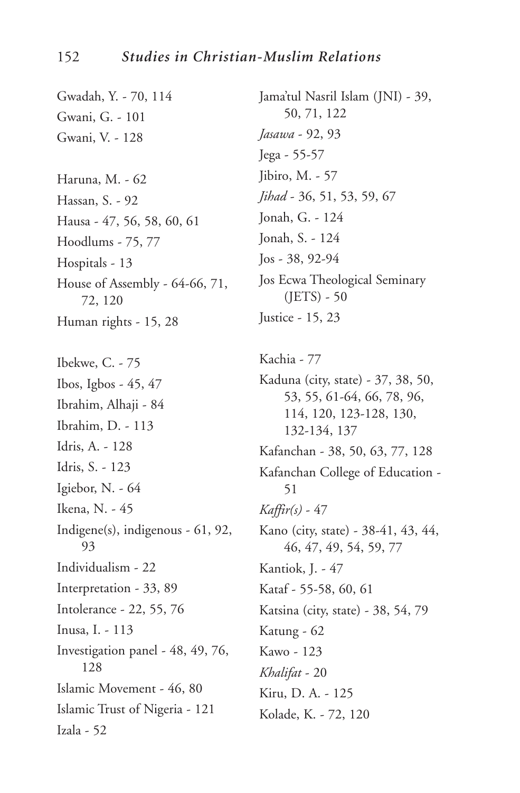Gwadah, Y. - 70, 114 Gwani, G. - 101 Gwani, V. - 128 Haruna, M. - 62 Hassan, S. - 92 Hausa - 47, 56, 58, 60, 61 Hoodlums - 75, 77 Hospitals - 13 House of Assembly - 64-66, 71, 72, 120 Human rights - 15, 28 Ibekwe, C. - 75 Ibos, Igbos - 45, 47 Ibrahim, Alhaji - 84 Ibrahim, D. - 113 Idris, A. - 128 Idris, S. - 123 Igiebor, N. - 64 Ikena, N. - 45 Indigene(s), indigenous - 61, 92, 93 Individualism - 22 Interpretation - 33, 89 Intolerance - 22, 55, 76 Inusa, I. - 113 Investigation panel - 48, 49, 76, 128 Islamic Movement - 46, 80 Islamic Trust of Nigeria - 121 Izala - 52

Jama'tul Nasril Islam (JNI) - 39, 50, 71, 122 *Jasawa* - 92, 93 Jega - 55-57 Jibiro, M. - 57 *Jihad* - 36, 51, 53, 59, 67 Jonah, G. - 124 Jonah, S. - 124 Jos - 38, 92-94 Jos Ecwa Theological Seminary (JETS) - 50 Justice - 15, 23 Kachia - 77 Kaduna (city, state) - 37, 38, 50, 53, 55, 61-64, 66, 78, 96, 114, 120, 123-128, 130, 132-134, 137 Kafanchan - 38, 50, 63, 77, 128 Kafanchan College of Education - 51 *Kaffir(s)* - 47 Kano (city, state) - 38-41, 43, 44, 46, 47, 49, 54, 59, 77 Kantiok, J. - 47 Kataf - 55-58, 60, 61 Katsina (city, state) - 38, 54, 79 Katung - 62 Kawo - 123

*Khalifat* - 20 Kiru, D. A. - 125

Kolade, K. - 72, 120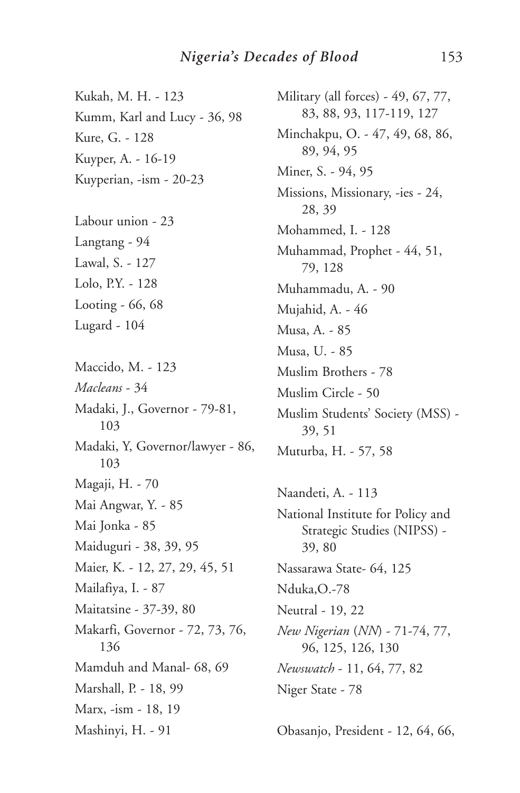Kukah, M. H. - 123 Kumm, Karl and Lucy - 36, 98 Kure, G. - 128 Kuyper, A. - 16-19 Kuyperian, -ism - 20-23

Labour union - 23 Langtang - 94 Lawal, S. - 127 Lolo, P.Y. - 128 Looting - 66, 68 Lugard - 104

Maccido, M. - 123 *Macleans* - 34 Madaki, J., Governor - 79-81, 103 Madaki, Y, Governor/lawyer - 86, 103 Magaji, H. - 70 Mai Angwar, Y. - 85 Mai Jonka - 85 Maiduguri - 38, 39, 95 Maier, K. - 12, 27, 29, 45, 51 Mailafiya, I. - 87 Maitatsine - 37-39, 80 Makarfi, Governor - 72, 73, 76, 136 Mamduh and Manal- 68, 69 Marshall, P. - 18, 99 Marx, -ism - 18, 19 Mashinyi, H. - 91

Military (all forces) - 49, 67, 77, 83, 88, 93, 117-119, 127 Minchakpu, O. - 47, 49, 68, 86, 89, 94, 95 Miner, S. - 94, 95 Missions, Missionary, -ies - 24, 28, 39 Mohammed, I. - 128 Muhammad, Prophet - 44, 51, 79, 128 Muhammadu, A. - 90 Mujahid, A. - 46 Musa, A. - 85 Musa, U. - 85 Muslim Brothers - 78 Muslim Circle - 50 Muslim Students' Society (MSS) - 39, 51 Muturba, H. - 57, 58

Naandeti, A. - 113 National Institute for Policy and Strategic Studies (NIPSS) - 39, 80 Nassarawa State- 64, 125 Nduka,O.-78 Neutral - 19, 22 *New Nigerian* (*NN*) - 71-74, 77, 96, 125, 126, 130 *Newswatch* - 11, 64, 77, 82 Niger State - 78

Obasanjo, President - 12, 64, 66,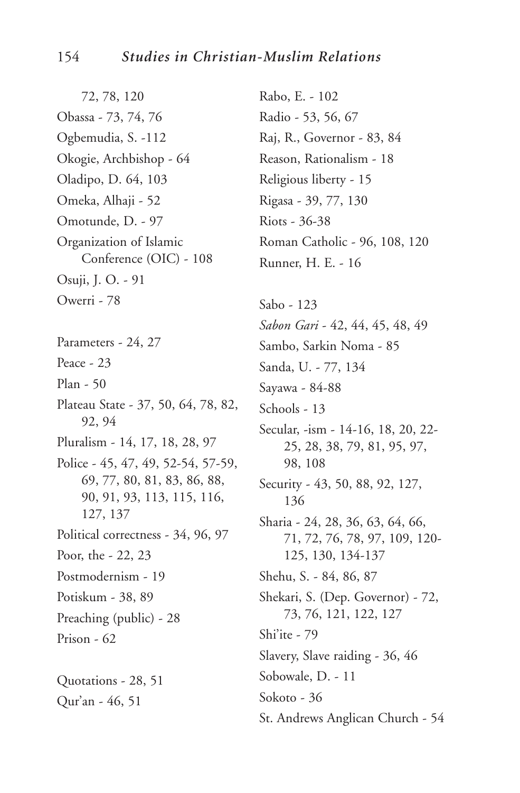72, 78, 120 Obassa - 73, 74, 76 Ogbemudia, S. -112 Okogie, Archbishop - 64 Oladipo, D. 64, 103 Omeka, Alhaji - 52 Omotunde, D. - 97 Organization of Islamic Conference (OIC) - 108 Osuji, J. O. - 91 Owerri - 78 Parameters - 24, 27 Peace - 23 Plan - 50 Plateau State - 37, 50, 64, 78, 82, 92, 94 Pluralism - 14, 17, 18, 28, 97 Police - 45, 47, 49, 52-54, 57-59, 69, 77, 80, 81, 83, 86, 88, 90, 91, 93, 113, 115, 116, 127, 137 Political correctness - 34, 96, 97 Poor, the - 22, 23 Postmodernism - 19 Potiskum - 38, 89 Preaching (public) - 28 Prison - 62 Quotations - 28, 51 Qur'an - 46, 51

Rabo, E. - 102 Radio - 53, 56, 67 Raj, R., Governor - 83, 84 Reason, Rationalism - 18 Religious liberty - 15 Rigasa - 39, 77, 130 Riots - 36-38 Roman Catholic - 96, 108, 120 Runner, H. E. - 16

Sabo - 123 *Sabon Gari* - 42, 44, 45, 48, 49 Sambo, Sarkin Noma - 85 Sanda, U. - 77, 134 Sayawa - 84-88 Schools - 13 Secular, -ism - 14-16, 18, 20, 22- 25, 28, 38, 79, 81, 95, 97, 98, 108 Security - 43, 50, 88, 92, 127, 136 Sharia - 24, 28, 36, 63, 64, 66, 71, 72, 76, 78, 97, 109, 120- 125, 130, 134-137 Shehu, S. - 84, 86, 87 Shekari, S. (Dep. Governor) - 72, 73, 76, 121, 122, 127 Shi'ite - 79 Slavery, Slave raiding - 36, 46 Sobowale, D. - 11 Sokoto - 36 St. Andrews Anglican Church - 54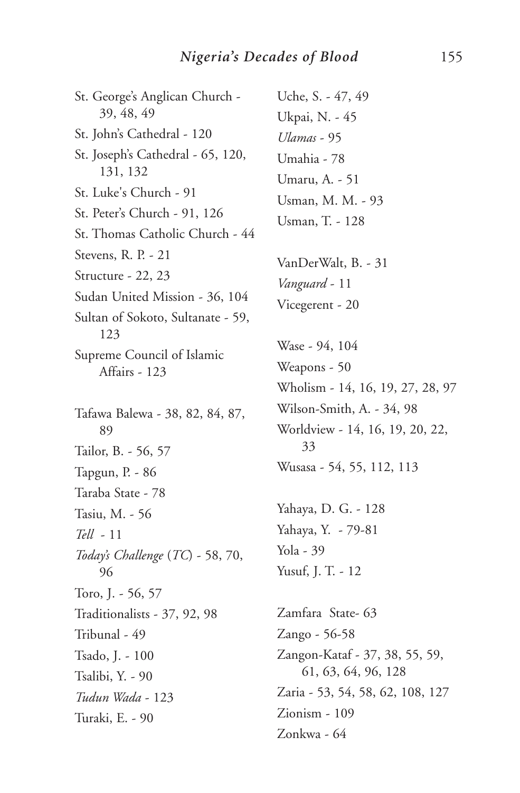St. George's Anglican Church - 39, 48, 49 St. John's Cathedral - 120 St. Joseph's Cathedral - 65, 120, 131, 132 St. Luke's Church - 91 St. Peter's Church - 91, 126 St. Thomas Catholic Church - 44 Stevens, R. P. - 21 Structure - 22, 23 Sudan United Mission - 36, 104 Sultan of Sokoto, Sultanate - 59, 123 Supreme Council of Islamic Affairs - 123 Tafawa Balewa - 38, 82, 84, 87, 89 Tailor, B. - 56, 57 Tapgun, P. - 86 Taraba State - 78 Tasiu, M. - 56 *Tell* - 11 *Today's Challenge* (*TC*) - 58, 70, 96 Toro, J. - 56, 57 Traditionalists - 37, 92, 98 Tribunal - 49 Tsado, J. - 100 Tsalibi, Y. - 90 *Tudun Wada* - 123 Turaki, E. - 90

Uche, S. - 47, 49 Ukpai, N. - 45 *Ulamas* - 95 Umahia - 78 Umaru, A. - 51 Usman, M. M. - 93 Usman, T. - 128 VanDerWalt, B. - 31 *Vanguard* - 11 Vicegerent - 20 Wase - 94, 104 Weapons - 50 Wholism - 14, 16, 19, 27, 28, 97 Wilson-Smith, A. - 34, 98 Worldview - 14, 16, 19, 20, 22, 33 Wusasa - 54, 55, 112, 113 Yahaya, D. G. - 128 Yahaya, Y. - 79-81 Yola - 39 Yusuf, J. T. - 12 Zamfara State- 63 Zango - 56-58 Zangon-Kataf - 37, 38, 55, 59, 61, 63, 64, 96, 128 Zaria - 53, 54, 58, 62, 108, 127 Zionism - 109

Zonkwa - 64